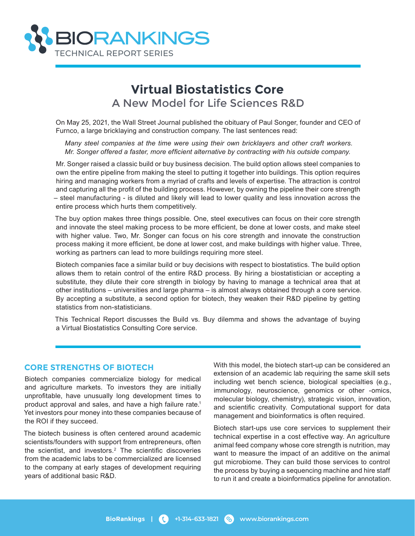

# **Virtual Biostatistics Core** A New Model for Life Sciences R&D

On May 25, 2021, the Wall Street Journal published the obituary of Paul Songer, founder and CEO of Furnco, a large bricklaying and construction company. The last sentences read:

*Many steel companies at the time were using their own bricklayers and other craft workers. Mr. Songer offered a faster, more efficient alternative by contracting with his outside company.*

Mr. Songer raised a classic build or buy business decision. The build option allows steel companies to own the entire pipeline from making the steel to putting it together into buildings. This option requires hiring and managing workers from a myriad of crafts and levels of expertise. The attraction is control and capturing all the profit of the building process. However, by owning the pipeline their core strength – steel manufacturing - is diluted and likely will lead to lower quality and less innovation across the entire process which hurts them competitively.

The buy option makes three things possible. One, steel executives can focus on their core strength and innovate the steel making process to be more efficient, be done at lower costs, and make steel with higher value. Two, Mr. Songer can focus on his core strength and innovate the construction process making it more efficient, be done at lower cost, and make buildings with higher value. Three, working as partners can lead to more buildings requiring more steel.

Biotech companies face a similar build or buy decisions with respect to biostatistics. The build option allows them to retain control of the entire R&D process. By hiring a biostatistician or accepting a substitute, they dilute their core strength in biology by having to manage a technical area that at other institutions – universities and large pharma – is almost always obtained through a core service. By accepting a substitute, a second option for biotech, they weaken their R&D pipeline by getting statistics from non-statisticians.

This Technical Report discusses the Build vs. Buy dilemma and shows the advantage of buying a Virtual Biostatistics Consulting Core service.

#### **CORE STRENGTHS OF BIOTECH**

Biotech companies commercialize biology for medical and agriculture markets. To investors they are initially unprofitable, have unusually long development times to product approval and sales, and have a high failure rate.<sup>1</sup> Yet investors pour money into these companies because of the ROI if they succeed.

The biotech business is often centered around academic scientists/founders with support from entrepreneurs, often the scientist, and investors.2 The scientific discoveries from the academic labs to be commercialized are licensed to the company at early stages of development requiring years of additional basic R&D.

With this model, the biotech start-up can be considered an extension of an academic lab requiring the same skill sets including wet bench science, biological specialties (e.g., immunology, neuroscience, genomics or other -omics, molecular biology, chemistry), strategic vision, innovation, and scientific creativity. Computational support for data management and bioinformatics is often required.

Biotech start-ups use core services to supplement their technical expertise in a cost effective way. An agriculture animal feed company whose core strength is nutrition, may want to measure the impact of an additive on the animal gut microbiome. They can build those services to control the process by buying a sequencing machine and hire staff to run it and create a bioinformatics pipeline for annotation.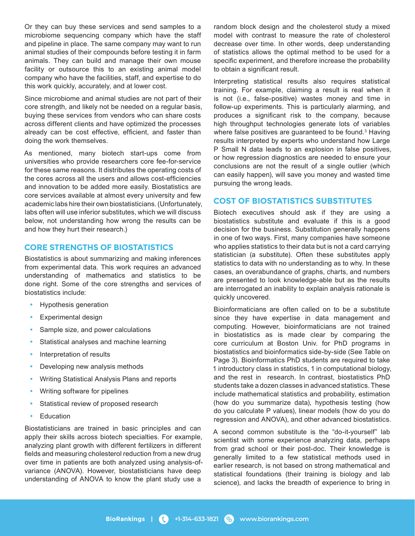Or they can buy these services and send samples to a microbiome sequencing company which have the staff and pipeline in place. The same company may want to run animal studies of their compounds before testing it in farm animals. They can build and manage their own mouse facility or outsource this to an existing animal model company who have the facilities, staff, and expertise to do this work quickly, accurately, and at lower cost.

Since microbiome and animal studies are not part of their core strength, and likely not be needed on a regular basis, buying these services from vendors who can share costs across different clients and have optimized the processes already can be cost effective, efficient, and faster than doing the work themselves.

As mentioned, many biotech start-ups come from universities who provide researchers core fee-for-service for these same reasons. It distributes the operating costs of the cores across all the users and allows cost-efficiencies and innovation to be added more easily. Biostatistics are core services available at almost every university and few academic labs hire their own biostatisticians. (Unfortunately, labs often will use inferior substitutes, which we will discuss below, not understanding how wrong the results can be and how they hurt their research.)

### **CORE STRENGTHS OF BIOSTATISTICS**

Biostatistics is about summarizing and making inferences from experimental data. This work requires an advanced understanding of mathematics and statistics to be done right. Some of the core strengths and services of biostatistics include:

- Hypothesis generation
- Experimental design
- Sample size, and power calculations
- Statistical analyses and machine learning
- Interpretation of results
- Developing new analysis methods
- Writing Statistical Analysis Plans and reports
- Writing software for pipelines
- Statistical review of proposed research
- **Education**

Biostatisticians are trained in basic principles and can apply their skills across biotech specialties. For example, analyzing plant growth with different fertilizers in different fields and measuring cholesterol reduction from a new drug over time in patients are both analyzed using analysis-ofvariance (ANOVA). However, biostatisticians have deep understanding of ANOVA to know the plant study use a

random block design and the cholesterol study a mixed model with contrast to measure the rate of cholesterol decrease over time. In other words, deep understanding of statistics allows the optimal method to be used for a specific experiment, and therefore increase the probability to obtain a significant result.

Interpreting statistical results also requires statistical training. For example, claiming a result is real when it is not (i.e., false-positive) wastes money and time in follow-up experiments. This is particularly alarming, and produces a significant risk to the company, because high throughput technologies generate lots of variables where false positives are guaranteed to be found.<sup>3</sup> Having results interpreted by experts who understand how Large P Small N data leads to an explosion in false positives, or how regression diagnostics are needed to ensure your conclusions are not the result of a single outlier (which can easily happen), will save you money and wasted time pursuing the wrong leads.

#### **COST OF BIOSTATISTICS SUBSTITUTES**

Biotech executives should ask if they are using a biostatistics substitute and evaluate if this is a good decision for the business. Substitution generally happens in one of two ways. First, many companies have someone who applies statistics to their data but is not a card carrying statistician (a substitute). Often these substitutes apply statistics to data with no understanding as to why. In these cases, an overabundance of graphs, charts, and numbers are presented to look knowledge-able but as the results are interrogated an inability to explain analysis rationale is quickly uncovered.

Bioinformaticians are often called on to be a substitute since they have expertise in data management and computing. However, bioinformaticians are not trained in biostatistics as is made clear by comparing the core curriculum at Boston Univ. for PhD programs in biostatistics and bioinformatics side-by-side (See Table on Page 3). Bioinformatics PhD students are required to take 1 introductory class in statistics, 1 in computational biology, and the rest in research. In contrast, biostatistics PhD students take a dozen classes in advanced statistics. These include mathematical statistics and probability, estimation (how do you summarize data), hypothesis testing (how do you calculate P values), linear models (how do you do regression and ANOVA), and other advanced biostatistics.

A second common substitute is the "do-it-yourself" lab scientist with some experience analyzing data, perhaps from grad school or their post-doc. Their knowledge is generally limited to a few statistical methods used in earlier research, is not based on strong mathematical and statistical foundations (their training is biology and lab science), and lacks the breadth of experience to bring in